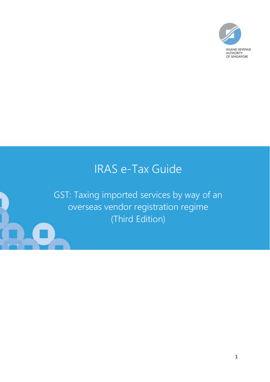

# IRAS e-Tax Guide

GST: Taxing imported services by way of an overseas vendor registration regime (Third Edition)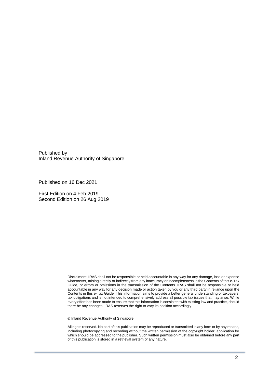Published by Inland Revenue Authority of Singapore

Published on 16 Dec 2021

First Edition on 4 Feb 2019 Second Edition on 26 Aug 2019

> Disclaimers: IRAS shall not be responsible or held accountable in any way for any damage, loss or expense whatsoever, arising directly or indirectly from any inaccuracy or incompleteness in the Contents of this e-Tax Guide, or errors or omissions in the transmission of the Contents. IRAS shall not be responsible or held accountable in any way for any decision made or action taken by you or any third party in reliance upon the Contents in this e-Tax Guide. This information aims to provide a better general understanding of taxpayers' tax obligations and is not intended to comprehensively address all possible tax issues that may arise. While every effort has been made to ensure that this information is consistent with existing law and practice, should there be any changes, IRAS reserves the right to vary its position accordingly.

© Inland Revenue Authority of Singapore

All rights reserved. No part of this publication may be reproduced or transmitted in any form or by any means, including photocopying and recording without the written permission of the copyright holder, application for which should be addressed to the publisher. Such written permission must also be obtained before any part of this publication is stored in a retrieval system of any nature.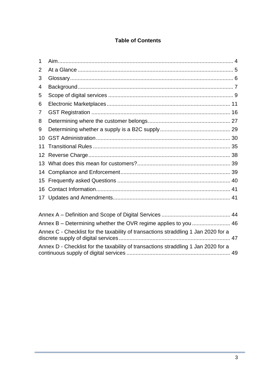### **Table of Contents**

| 1  |                                                                                    |  |  |
|----|------------------------------------------------------------------------------------|--|--|
| 2  |                                                                                    |  |  |
| 3  |                                                                                    |  |  |
| 4  |                                                                                    |  |  |
| 5  |                                                                                    |  |  |
| 6  |                                                                                    |  |  |
| 7  |                                                                                    |  |  |
| 8  |                                                                                    |  |  |
| 9  |                                                                                    |  |  |
| 10 |                                                                                    |  |  |
| 11 |                                                                                    |  |  |
| 12 |                                                                                    |  |  |
| 13 |                                                                                    |  |  |
| 14 |                                                                                    |  |  |
| 15 |                                                                                    |  |  |
| 16 |                                                                                    |  |  |
| 17 |                                                                                    |  |  |
|    |                                                                                    |  |  |
|    | Annex B - Determining whether the OVR regime applies to you  46                    |  |  |
|    | Annex C - Checklist for the taxability of transactions straddling 1 Jan 2020 for a |  |  |
|    | Annex D - Checklist for the taxability of transactions straddling 1 Jan 2020 for a |  |  |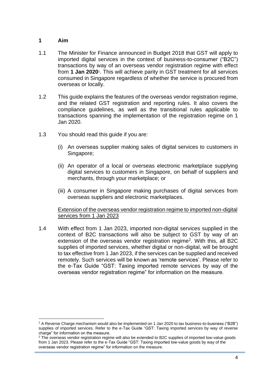### <span id="page-3-0"></span>**1 Aim**

- 1.1 The Minister for Finance announced in Budget 2018 that GST will apply to imported digital services in the context of business-to-consumer ("B2C") transactions by way of an overseas vendor registration regime with effect from **1 Jan 2020**<sup>1</sup> . This will achieve parity in GST treatment for all services consumed in Singapore regardless of whether the service is procured from overseas or locally.
- 1.2 This guide explains the features of the overseas vendor registration regime, and the related GST registration and reporting rules. It also covers the compliance guidelines, as well as the transitional rules applicable to transactions spanning the implementation of the registration regime on 1 Jan 2020.
- 1.3 You should read this guide if you are:
	- (i) An overseas supplier making sales of digital services to customers in Singapore;
	- (ii) An operator of a local or overseas electronic marketplace supplying digital services to customers in Singapore, on behalf of suppliers and merchants, through your marketplace; or
	- (iii) A consumer in Singapore making purchases of digital services from overseas suppliers and electronic marketplaces.

#### Extension of the overseas vendor registration regime to imported non-digital services from 1 Jan 2023

1.4 With effect from 1 Jan 2023, imported non-digital services supplied in the context of B2C transactions will also be subject to GST by way of an extension of the overseas vendor registration regime<sup>2</sup>. With this, all B2C supplies of imported services, whether digital or non-digital, will be brought to tax effective from 1 Jan 2023, if the services can be supplied and received remotely. Such services will be known as 'remote services'. Please refer to the e-Tax Guide "GST: Taxing imported remote services by way of the overseas vendor registration regime" for information on the measure.

<sup>1</sup> A Reverse Charge mechanism would also be implemented on 1 Jan 2020 to tax business-to-business ("B2B") supplies of imported services. Refer to the e-Tax Guide "GST: Taxing imported services by way of reverse charge" for information on the measure.

<sup>&</sup>lt;sup>2</sup> The overseas vendor registration regime will also be extended to B2C supplies of imported low-value goods from 1 Jan 2023. Please refer to the e-Tax Guide "GST: Taxing imported low-value goods by way of the overseas vendor registration regime" for information on the measure.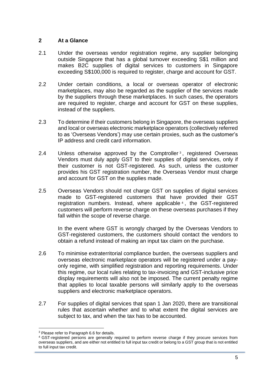### <span id="page-4-0"></span>**2 At a Glance**

- 2.1 Under the overseas vendor registration regime, any supplier belonging outside Singapore that has a global turnover exceeding S\$1 million and makes B2C supplies of digital services to customers in Singapore exceeding S\$100,000 is required to register, charge and account for GST.
- 2.2 Under certain conditions, a local or overseas operator of electronic marketplaces, may also be regarded as the supplier of the services made by the suppliers through these marketplaces. In such cases, the operators are required to register, charge and account for GST on these supplies, instead of the suppliers.
- 2.3 To determine if their customers belong in Singapore, the overseas suppliers and local or overseas electronic marketplace operators (collectively referred to as 'Overseas Vendors') may use certain proxies, such as the customer's IP address and credit card information.
- 2.4 Unless otherwise approved by the Comptroller<sup>3</sup>, registered Overseas Vendors must duly apply GST to their supplies of digital services, only if their customer is not GST-registered. As such, unless the customer provides his GST registration number, the Overseas Vendor must charge and account for GST on the supplies made.
- 2.5 Overseas Vendors should not charge GST on supplies of digital services made to GST-registered customers that have provided their GST registration numbers. Instead, where applicable <sup>4</sup> , the GST-registered customers will perform reverse charge on these overseas purchases if they fall within the scope of reverse charge.

In the event where GST is wrongly charged by the Overseas Vendors to GST-registered customers, the customers should contact the vendors to obtain a refund instead of making an input tax claim on the purchase.

- 2.6 To minimise extraterritorial compliance burden, the overseas suppliers and overseas electronic marketplace operators will be registered under a payonly regime, with simplified registration and reporting requirements. Under this regime, our local rules relating to tax-invoicing and GST-inclusive price display requirements will also not be imposed. The current penalty regime that applies to local taxable persons will similarly apply to the overseas suppliers and electronic marketplace operators.
- 2.7 For supplies of digital services that span 1 Jan 2020, there are transitional rules that ascertain whether and to what extent the digital services are subject to tax, and when the tax has to be accounted.

<sup>&</sup>lt;sup>3</sup> Please refer to Paragraph 6.6 for details.

<sup>4</sup> GST-registered persons are generally required to perform reverse charge if they procure services from overseas suppliers, and are either not entitled to full input tax credit or belong to a GST group that is not entitled to full input tax credit.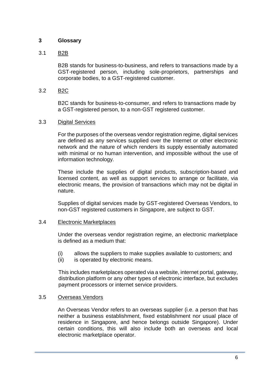### <span id="page-5-0"></span>**3 Glossary**

### 3.1 B2B

B2B stands for business-to-business, and refers to transactions made by a GST-registered person, including sole-proprietors, partnerships and corporate bodies, to a GST-registered customer.

### 3.2 B2C

B2C stands for business-to-consumer, and refers to transactions made by a GST-registered person, to a non-GST registered customer.

### 3.3 Digital Services

For the purposes of the overseas vendor registration regime, digital services are defined as any services supplied over the Internet or other electronic network and the nature of which renders its supply essentially automated with minimal or no human intervention, and impossible without the use of information technology*.*

These include the supplies of digital products, subscription-based and licensed content, as well as support services to arrange or facilitate, via electronic means, the provision of transactions which may not be digital in nature.

Supplies of digital services made by GST-registered Overseas Vendors, to non-GST registered customers in Singapore, are subject to GST.

#### 3.4 Electronic Marketplaces

Under the overseas vendor registration regime, an electronic marketplace is defined as a medium that:

- (i) allows the suppliers to make supplies available to customers; and
- (ii) is operated by electronic means.

This includes marketplaces operated via a website, internet portal, gateway, distribution platform or any other types of electronic interface, but excludes payment processors or internet service providers.

#### 3.5 Overseas Vendors

An Overseas Vendor refers to an overseas supplier (i.e. a person that has neither a business establishment, fixed establishment nor usual place of residence in Singapore, and hence belongs outside Singapore). Under certain conditions, this will also include both an overseas and local electronic marketplace operator.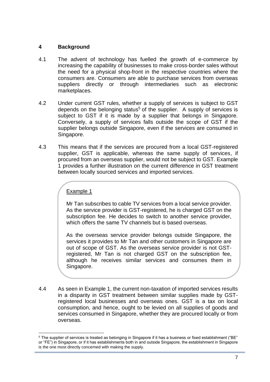### <span id="page-6-0"></span>**4 Background**

- 4.1 The advent of technology has fuelled the growth of e-commerce by increasing the capability of businesses to make cross-border sales without the need for a physical shop-front in the respective countries where the consumers are. Consumers are able to purchase services from overseas suppliers directly or through intermediaries such as electronic marketplaces.
- 4.2 Under current GST rules, whether a supply of services is subject to GST depends on the belonging status<sup>5</sup> of the supplier. A supply of services is subject to GST if it is made by a supplier that belongs in Singapore. Conversely, a supply of services falls outside the scope of GST if the supplier belongs outside Singapore, even if the services are consumed in Singapore.
- 4.3 This means that if the services are procured from a local GST-registered supplier, GST is applicable, whereas the same supply of services, if procured from an overseas supplier, would not be subject to GST. Example 1 provides a further illustration on the current difference in GST treatment between locally sourced services and imported services.

### Example 1

Mr Tan subscribes to cable TV services from a local service provider. As the service provider is GST-registered, he is charged GST on the subscription fee. He decides to switch to another service provider, which offers the same TV channels but is based overseas.

As the overseas service provider belongs outside Singapore, the services it provides to Mr Tan and other customers in Singapore are out of scope of GST. As the overseas service provider is not GSTregistered, Mr Tan is not charged GST on the subscription fee, although he receives similar services and consumes them in Singapore.

4.4 As seen in Example 1, the current non-taxation of imported services results in a disparity in GST treatment between similar supplies made by GSTregistered local businesses and overseas ones. GST is a tax on local consumption, and hence, ought to be levied on all supplies of goods and services consumed in Singapore, whether they are procured locally or from overseas.

<sup>5</sup> The supplier of services is treated as belonging in Singapore if it has a business or fixed establishment ("BE" or "FE") in Singapore, or if it has establishments both in and outside Singapore, the establishment in Singapore is the one most directly concerned with making the supply.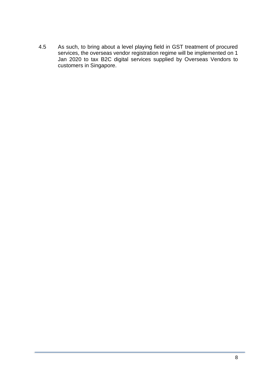4.5 As such, to bring about a level playing field in GST treatment of procured services, the overseas vendor registration regime will be implemented on 1 Jan 2020 to tax B2C digital services supplied by Overseas Vendors to customers in Singapore.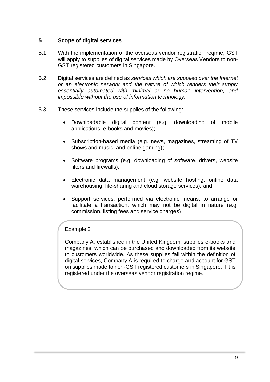### <span id="page-8-0"></span>**5 Scope of digital services**

- 5.1 With the implementation of the overseas vendor registration regime, GST will apply to supplies of digital services made by Overseas Vendors to non-GST registered customers in Singapore.
- 5.2 Digital services are defined as *services which are supplied over the Internet or an electronic network and the nature of which renders their supply essentially automated with minimal or no human intervention, and impossible without the use of information technology.*
- 5.3 These services include the supplies of the following:
	- Downloadable digital content (e.g. downloading of mobile applications, e-books and movies);
	- Subscription-based media (e.g. news, magazines, streaming of TV shows and music, and online gaming);
	- Software programs (e.g. downloading of software, drivers, website filters and firewalls);
	- Electronic data management (e.g. website hosting, online data warehousing, file-sharing and cloud storage services); and
	- Support services, performed via electronic means, to arrange or facilitate a transaction, which may not be digital in nature (e.g. commission, listing fees and service charges)

### Example 2

Company A, established in the United Kingdom, supplies e-books and magazines, which can be purchased and downloaded from its website to customers worldwide. As these supplies fall within the definition of digital services, Company A is required to charge and account for GST on supplies made to non-GST registered customers in Singapore, if it is registered under the overseas vendor registration regime.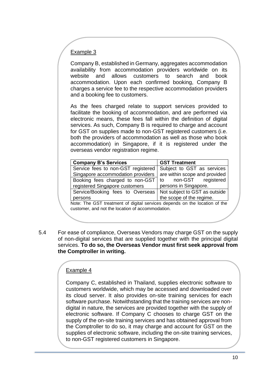### Example 3

Company B, established in Germany, aggregates accommodation availability from accommodation providers worldwide on its website and allows customers to search and book accommodation. Upon each confirmed booking, Company B charges a service fee to the respective accommodation providers and a booking fee to customers.

As the fees charged relate to support services provided to facilitate the booking of accommodation, and are performed via electronic means, these fees fall within the definition of digital services. As such, Company B is required to charge and account for GST on supplies made to non-GST registered customers (i.e. both the providers of accommodation as well as those who book accommodation) in Singapore, if it is registered under the overseas vendor registration regime.

| <b>GST Treatment</b>                                                         |
|------------------------------------------------------------------------------|
| Subject to GST as services                                                   |
| are within scope and provided                                                |
| to non-GST registered                                                        |
| persons in Singapore.                                                        |
| Not subject to GST as outside<br>Service/Booking fees to Overseas            |
| the scope of the regime.                                                     |
| Mater The OOT togethered of digital condition dependence the legation of the |

Note: The GST treatment of digital services depends on the location of the customer, and not the location of accommodation.

5.4 For ease of compliance, Overseas Vendors may charge GST on the supply of non-digital services that are supplied together with the principal digital services. **To do so, the Overseas Vendor must first seek approval from the Comptroller in writing.**

### Example 4

Company C, established in Thailand, supplies electronic software to customers worldwide, which may be accessed and downloaded over its cloud server. It also provides on-site training services for each software purchase. Notwithstanding that the training services are nondigital in nature, the services are provided together with the supply of electronic software. If Company C chooses to charge GST on the supply of the on-site training services and has obtained approval from the Comptroller to do so, it may charge and account for GST on the supplies of electronic software, including the on-site training services, to non-GST registered customers in Singapore.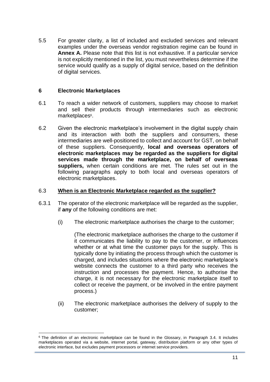5.5 For greater clarity, a list of included and excluded services and relevant examples under the overseas vendor registration regime can be found in **Annex A.** Please note that this list is not exhaustive. If a particular service is not explicitly mentioned in the list, you must nevertheless determine if the service would qualify as a supply of digital service, based on the definition of digital services.

### <span id="page-10-0"></span>**6 Electronic Marketplaces**

- 6.1 To reach a wider network of customers, suppliers may choose to market and sell their products through intermediaries such as electronic marketplaces<sup>6</sup>.
- 6.2 Given the electronic marketplace's involvement in the digital supply chain and its interaction with both the suppliers and consumers, these intermediaries are well-positioned to collect and account for GST, on behalf of these suppliers. Consequently, **local and overseas operators of electronic marketplaces may be regarded as the suppliers for digital services made through the marketplace, on behalf of overseas suppliers,** when certain conditions are met. The rules set out in the following paragraphs apply to both local and overseas operators of electronic marketplaces.

### 6.3 **When is an Electronic Marketplace regarded as the supplier?**

- 6.3.1 The operator of the electronic marketplace will be regarded as the supplier, if **any** of the following conditions are met:
	- (i) The electronic marketplace authorises the charge to the customer;

(The electronic marketplace authorises the charge to the customer if it communicates the liability to pay to the customer, or influences whether or at what time the customer pays for the supply. This is typically done by initiating the process through which the customer is charged, and includes situations where the electronic marketplace's website connects the customer to a third party who receives the instruction and processes the payment. Hence, to authorise the charge, it is not necessary for the electronic marketplace itself to collect or receive the payment, or be involved in the entire payment process.)

(ii) The electronic marketplace authorises the delivery of supply to the customer;

<sup>&</sup>lt;sup>6</sup> The definition of an electronic marketplace can be found in the Glossary, in Paragraph 3.4. It includes marketplaces operated via a website, internet portal, gateway, distribution platform or any other types of electronic interface, but excludes payment processors or internet service providers.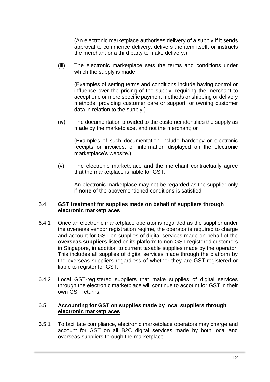(An electronic marketplace authorises delivery of a supply if it sends approval to commence delivery, delivers the item itself, or instructs the merchant or a third party to make delivery.)

(iii) The electronic marketplace sets the terms and conditions under which the supply is made;

(Examples of setting terms and conditions include having control or influence over the pricing of the supply, requiring the merchant to accept one or more specific payment methods or shipping or delivery methods, providing customer care or support, or owning customer data in relation to the supply.)

(iv) The documentation provided to the customer identifies the supply as made by the marketplace, and not the merchant; or

(Examples of such documentation include hardcopy or electronic receipts or invoices, or information displayed on the electronic marketplace's website.)

(v) The electronic marketplace and the merchant contractually agree that the marketplace is liable for GST.

An electronic marketplace may not be regarded as the supplier only if **none** of the abovementioned conditions is satisfied.

#### 6.4 **GST treatment for supplies made on behalf of suppliers through electronic marketplaces**

- 6.4.1 Once an electronic marketplace operator is regarded as the supplier under the overseas vendor registration regime, the operator is required to charge and account for GST on supplies of digital services made on behalf of the **overseas suppliers** listed on its platform to non-GST registered customers in Singapore, in addition to current taxable supplies made by the operator. This includes all supplies of digital services made through the platform by the overseas suppliers regardless of whether they are GST-registered or liable to register for GST.
- 6.4.2 Local GST-registered suppliers that make supplies of digital services through the electronic marketplace will continue to account for GST in their own GST returns.

### 6.5 **Accounting for GST on supplies made by local suppliers through electronic marketplaces**

6.5.1 To facilitate compliance, electronic marketplace operators may charge and account for GST on all B2C digital services made by both local and overseas suppliers through the marketplace.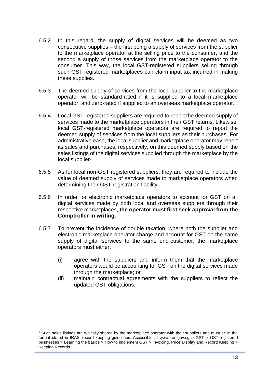- 6.5.2 In this regard, the supply of digital services will be deemed as two consecutive supplies – the first being a supply of services from the supplier to the marketplace operator at the selling price to the consumer, and the second a supply of those services from the marketplace operator to the consumer. This way, the local GST-registered suppliers selling through such GST-registered marketplaces can claim input tax incurred in making these supplies.
- 6.5.3 The deemed supply of services from the local supplier to the marketplace operator will be standard-rated if it is supplied to a local marketplace operator, and zero-rated if supplied to an overseas marketplace operator.
- 6.5.4 Local GST-registered suppliers are required to report the deemed supply of services made to the marketplace operators in their GST returns. Likewise, local GST-registered marketplace operators are required to report the deemed supply of services from the local suppliers as their purchases. For administrative ease, the local supplier and marketplace operator may report its sales and purchases, respectively, on this deemed supply based on the sales listings of the digital services supplied through the marketplace by the local supplier<sup>7</sup>.
- 6.5.5 As for local non-GST registered suppliers, they are required to include the value of deemed supply of services made to marketplace operators when determining their GST registration liability.
- 6.5.6 In order for electronic marketplace operators to account for GST on all digital services made by both local and overseas suppliers through their respective marketplaces, **the operator must first seek approval from the Comptroller in writing.**
- 6.5.7 To prevent the incidence of double taxation, where both the supplier and electronic marketplace operator charge and account for GST on the same supply of digital services to the same end-customer, the marketplace operators must either:
	- (i) agree with the suppliers and inform them that the marketplace operators would be accounting for GST on the digital services made through the marketplace; or
	- (ii) maintain contractual agreements with the suppliers to reflect the updated GST obligations.

<sup>&</sup>lt;sup>7</sup> Such sales listings are typically shared by the marketplace operator with their suppliers and must be in the format stated in IRAS' record keeping guidelines: Accessible at www.iras.gov.sg > GST > GST-registered businesses > Learning the basics > How to implement GST > Invoicing, Price Display and Record Keeping > Keeping Records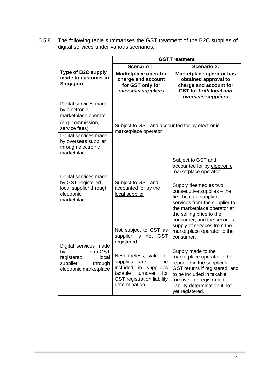6.5.8 The following table summarises the GST treatment of the B2C supplies of digital services under various scenarios:

|                                                                                                                               | <b>GST Treatment</b>                                                                                                                                                      |                                                                                                                                                                                                                                                                                      |  |
|-------------------------------------------------------------------------------------------------------------------------------|---------------------------------------------------------------------------------------------------------------------------------------------------------------------------|--------------------------------------------------------------------------------------------------------------------------------------------------------------------------------------------------------------------------------------------------------------------------------------|--|
| Type of B2C supply<br>made to customer in<br><b>Singapore</b>                                                                 | Scenario 1:<br><b>Marketplace operator</b><br>charge and account<br>for GST only for<br>overseas suppliers                                                                | <b>Scenario 2:</b><br>Marketplace operator has<br>obtained approval to<br>charge and account for<br><b>GST</b> for both local and<br>overseas suppliers                                                                                                                              |  |
| Digital services made<br>by electronic<br>marketplace operator<br>(e.g. commission,<br>service fees)<br>Digital services made | Subject to GST and accounted for by electronic<br>marketplace operator                                                                                                    |                                                                                                                                                                                                                                                                                      |  |
| by overseas supplier<br>through electronic<br>marketplace                                                                     |                                                                                                                                                                           |                                                                                                                                                                                                                                                                                      |  |
| Digital services made<br>by GST-registered<br>local supplier through<br>electronic<br>marketplace                             | Subject to GST and<br>accounted for by the<br>local supplier                                                                                                              | Subject to GST and<br>accounted for by electronic<br>marketplace operator<br>Supply deemed as two<br>consecutive supplies - the<br>first being a supply of<br>services from the supplier to<br>the marketplace operator at<br>the selling price to the<br>consumer, and the second a |  |
| Digital services made                                                                                                         | Not subject to GST as<br>supplier is<br>not GST<br>registered                                                                                                             | supply of services from the<br>marketplace operator to the<br>consumer.                                                                                                                                                                                                              |  |
| non-GST<br>by<br>registered<br>local<br>supplier<br>through<br>electronic marketplace                                         | Nevertheless, value of<br>supplies<br>be<br>to<br>are<br>included<br>supplier's<br>in<br>taxable<br>turnover<br>for<br><b>GST registration liability</b><br>determination | Supply made to the<br>marketplace operator to be<br>reported in the supplier's<br>GST returns if registered, and<br>to be included in taxable<br>turnover for registration<br>liability determination if not<br>yet registered.                                                      |  |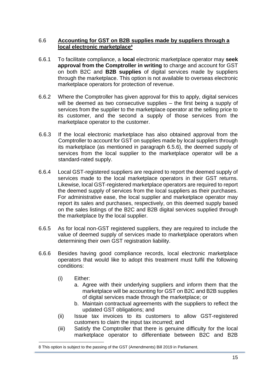### 6.6 **Accounting for GST on B2B supplies made by suppliers through a local electronic marketplace<sup>8</sup>**

- 6.6.1 To facilitate compliance, a **local** electronic marketplace operator may **seek approval from the Comptroller in writing** to charge and account for GST on both B2C and **B2B supplies** of digital services made by suppliers through the marketplace. This option is not available to overseas electronic marketplace operators for protection of revenue.
- 6.6.2 Where the Comptroller has given approval for this to apply, digital services will be deemed as two consecutive supplies – the first being a supply of services from the supplier to the marketplace operator at the selling price to its customer, and the second a supply of those services from the marketplace operator to the customer.
- 6.6.3 If the local electronic marketplace has also obtained approval from the Comptroller to account for GST on supplies made by local suppliers through its marketplace (as mentioned in paragraph 6.5.6), the deemed supply of services from the local supplier to the marketplace operator will be a standard-rated supply.
- 6.6.4 Local GST-registered suppliers are required to report the deemed supply of services made to the local marketplace operators in their GST returns. Likewise, local GST-registered marketplace operators are required to report the deemed supply of services from the local suppliers as their purchases. For administrative ease, the local supplier and marketplace operator may report its sales and purchases, respectively, on this deemed supply based on the sales listings of the B2C and B2B digital services supplied through the marketplace by the local supplier.
- 6.6.5 As for local non-GST registered suppliers, they are required to include the value of deemed supply of services made to marketplace operators when determining their own GST registration liability.
- 6.6.6 Besides having good compliance records, local electronic marketplace operators that would like to adopt this treatment must fulfil the following conditions:
	- (i) Either:
		- a. Agree with their underlying suppliers and inform them that the marketplace will be accounting for GST on B2C and B2B supplies of digital services made through the marketplace; or
		- b. Maintain contractual agreements with the suppliers to reflect the updated GST obligations; and
	- (ii) Issue tax invoices to its customers to allow GST-registered customers to claim the input tax incurred; and
	- (iii) Satisfy the Comptroller that there is genuine difficulty for the local marketplace operator to differentiate between B2C and B2B

<sup>8</sup> This option is subject to the passing of the GST (Amendments) Bill 2019 in Parliament.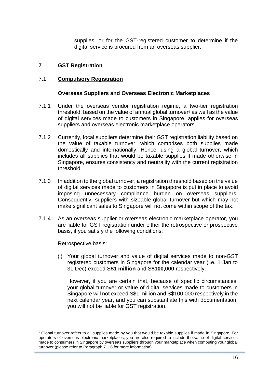supplies, or for the GST-registered customer to determine if the digital service is procured from an overseas supplier.

### <span id="page-15-0"></span>**7 GST Registration**

### 7.1 **Compulsory Registration**

#### **Overseas Suppliers and Overseas Electronic Marketplaces**

- 7.1.1 Under the overseas vendor registration regime, a two-tier registration threshold, based on the value of annual global turnover<sup>9</sup> as well as the value of digital services made to customers in Singapore, applies for overseas suppliers and overseas electronic marketplace operators.
- 7.1.2 Currently, local suppliers determine their GST registration liability based on the value of taxable turnover, which comprises both supplies made domestically and internationally. Hence, using a global turnover, which includes all supplies that would be taxable supplies if made otherwise in Singapore, ensures consistency and neutrality with the current registration threshold.
- 7.1.3 In addition to the global turnover, a registration threshold based on the value of digital services made to customers in Singapore is put in place to avoid imposing unnecessary compliance burden on overseas suppliers. Consequently, suppliers with sizeable global turnover but which may not make significant sales to Singapore will not come within scope of the tax.
- 7.1.4 As an overseas supplier or overseas electronic marketplace operator, you are liable for GST registration under either the retrospective or prospective basis, if you satisfy the following conditions:

Retrospective basis:

(i) Your global turnover and value of digital services made to non-GST registered customers in Singapore for the calendar year (i.e. 1 Jan to 31 Dec) exceed S**\$1 million** and S**\$100,000** respectively.

However, if you are certain that, because of specific circumstances, your global turnover or value of digital services made to customers in Singapore will not exceed S\$1 million and S\$100,000 respectively in the next calendar year, and you can substantiate this with documentation, you will not be liable for GST registration.

<sup>&</sup>lt;sup>9</sup> Global turnover refers to all supplies made by you that would be taxable supplies if made in Singapore. For operators of overseas electronic marketplaces, you are also required to include the value of digital services made to consumers in Singapore by overseas suppliers through your marketplace when computing your global turnover (please refer to Paragraph 7.1.6 for more information).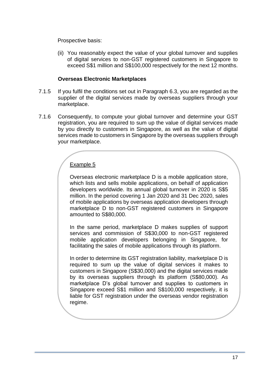Prospective basis:

(ii) You reasonably expect the value of your global turnover and supplies of digital services to non-GST registered customers in Singapore to exceed S\$1 million and S\$100,000 respectively for the next 12 months.

### **Overseas Electronic Marketplaces**

- 7.1.5 If you fulfil the conditions set out in Paragraph 6.3, you are regarded as the supplier of the digital services made by overseas suppliers through your marketplace.
- 7.1.6 Consequently, to compute your global turnover and determine your GST registration, you are required to sum up the value of digital services made by you directly to customers in Singapore, as well as the value of digital services made to customers in Singapore by the overseas suppliers through your marketplace.

## Example 5

Overseas electronic marketplace D is a mobile application store, which lists and sells mobile applications, on behalf of application developers worldwide. Its annual global turnover in 2020 is S\$5 million. In the period covering 1 Jan 2020 and 31 Dec 2020, sales of mobile applications by overseas application developers through marketplace D to non-GST registered customers in Singapore amounted to S\$80,000.

In the same period, marketplace D makes supplies of support services and commission of S\$30,000 to non-GST registered mobile application developers belonging in Singapore, for facilitating the sales of mobile applications through its platform.

In order to determine its GST registration liability, marketplace D is required to sum up the value of digital services it makes to customers in Singapore (S\$30,000) and the digital services made by its overseas suppliers through its platform (S\$80,000). As marketplace D's global turnover and supplies to customers in Singapore exceed S\$1 million and S\$100,000 respectively, it is liable for GST registration under the overseas vendor registration regime.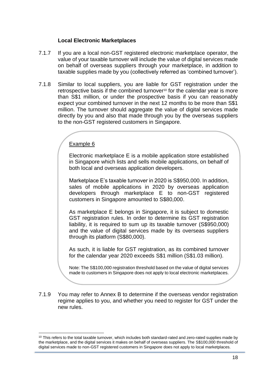### **Local Electronic Marketplaces**

- 7.1.7 If you are a local non-GST registered electronic marketplace operator, the value of your taxable turnover will include the value of digital services made on behalf of overseas suppliers through your marketplace, in addition to taxable supplies made by you (collectively referred as 'combined turnover').
- 7.1.8 Similar to local suppliers, you are liable for GST registration under the retrospective basis if the combined turnover<sup>10</sup> for the calendar year is more than S\$1 million, or under the prospective basis if you can reasonably expect your combined turnover in the next 12 months to be more than S\$1 million. The turnover should aggregate the value of digital services made directly by you and also that made through you by the overseas suppliers to the non-GST registered customers in Singapore.

### Example 6

Electronic marketplace E is a mobile application store established in Singapore which lists and sells mobile applications, on behalf of both local and overseas application developers.

Marketplace E's taxable turnover in 2020 is S\$950,000. In addition, sales of mobile applications in 2020 by overseas application developers through marketplace E to non-GST registered customers in Singapore amounted to S\$80,000.

As marketplace E belongs in Singapore, it is subject to domestic GST registration rules. In order to determine its GST registration liability, it is required to sum up its taxable turnover (S\$950,000) and the value of digital services made by its overseas suppliers through its platform (S\$80,000).

As such, it is liable for GST registration, as its combined turnover for the calendar year 2020 exceeds S\$1 million (S\$1.03 million).

Note: The S\$100,000 registration threshold based on the value of digital services made to customers in Singapore does not apply to local electronic marketplaces.

7.1.9 You may refer to Annex B to determine if the overseas vendor registration regime applies to you, and whether you need to register for GST under the new rules.

 $10$  This refers to the total taxable turnover, which includes both standard-rated and zero-rated supplies made by the marketplace, and the digital services it makes on behalf of overseas suppliers. The S\$100,000 threshold of digital services made to non-GST registered customers in Singapore does not apply to local marketplaces.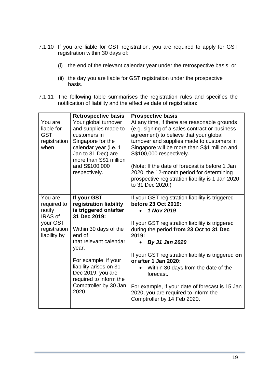- 7.1.10 If you are liable for GST registration, you are required to apply for GST registration within 30 days of:
	- (i) the end of the relevant calendar year under the retrospective basis; or
	- (ii) the day you are liable for GST registration under the prospective basis.
- 7.1.11 The following table summarises the registration rules and specifies the notification of liability and the effective date of registration:

|                                                                                                | <b>Retrospective basis</b>                                                                                                                                                                                                                                                              | <b>Prospective basis</b>                                                                                                                                                                                                                                                                                                                                                                                                                                                  |
|------------------------------------------------------------------------------------------------|-----------------------------------------------------------------------------------------------------------------------------------------------------------------------------------------------------------------------------------------------------------------------------------------|---------------------------------------------------------------------------------------------------------------------------------------------------------------------------------------------------------------------------------------------------------------------------------------------------------------------------------------------------------------------------------------------------------------------------------------------------------------------------|
| You are<br>liable for<br><b>GST</b><br>registration<br>when                                    | Your global turnover<br>and supplies made to<br>customers in<br>Singapore for the<br>calendar year (i.e. 1<br>Jan to 31 Dec) are<br>more than S\$1 million<br>and S\$100,000<br>respectively.                                                                                           | At any time, if there are reasonable grounds<br>(e.g. signing of a sales contract or business<br>agreement) to believe that your global<br>turnover and supplies made to customers in<br>Singapore will be more than S\$1 million and<br>S\$100,000 respectively.<br>(Note: If the date of forecast is before 1 Jan<br>2020, the 12-month period for determining<br>prospective registration liability is 1 Jan 2020<br>to 31 Dec 2020.)                                  |
| You are<br>required to<br>notify<br><b>IRAS of</b><br>your GST<br>registration<br>liability by | If your GST<br>registration liability<br>is triggered on/after<br>31 Dec 2019:<br>Within 30 days of the<br>end of<br>that relevant calendar<br>year.<br>For example, if your<br>liability arises on 31<br>Dec 2019, you are<br>required to inform the<br>Comptroller by 30 Jan<br>2020. | If your GST registration liability is triggered<br>before 23 Oct 2019:<br>1 Nov 2019<br>If your GST registration liability is triggered<br>during the period from 23 Oct to 31 Dec<br>2019:<br>By 31 Jan 2020<br>If your GST registration liability is triggered on<br>or after 1 Jan 2020:<br>Within 30 days from the date of the<br>forecast.<br>For example, if your date of forecast is 15 Jan<br>2020, you are required to inform the<br>Comptroller by 14 Feb 2020. |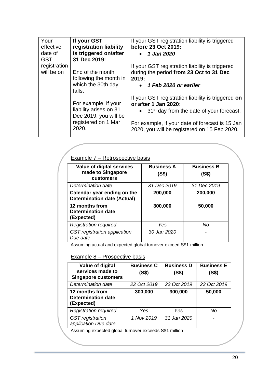| Your<br>effective<br>date of<br><b>GST</b> | If your GST<br>registration liability<br>is triggered on/after<br>31 Dec 2019:                          | If your GST registration liability is triggered<br>before 23 Oct 2019:<br>1 Jan 2020<br>$\bullet$                                                                                                                                               |
|--------------------------------------------|---------------------------------------------------------------------------------------------------------|-------------------------------------------------------------------------------------------------------------------------------------------------------------------------------------------------------------------------------------------------|
| registration<br>will be on                 | End of the month<br>following the month in<br>which the 30th day<br>falls.                              | If your GST registration liability is triggered<br>during the period from 23 Oct to 31 Dec<br>2019:<br>1 Feb 2020 or earlier<br>$\bullet$                                                                                                       |
|                                            | For example, if your<br>liability arises on 31<br>Dec 2019, you will be<br>registered on 1 Mar<br>2020. | If your GST registration liability is triggered on<br>or after 1 Jan 2020:<br>$\bullet$ 31 <sup>st</sup> day from the date of your forecast.<br>For example, if your date of forecast is 15 Jan<br>2020, you will be registered on 15 Feb 2020. |

| Value of digital services<br>made to Singapore<br>customers       | <b>Business A</b><br>(S\$) | <b>Business B</b><br>(S\$) |
|-------------------------------------------------------------------|----------------------------|----------------------------|
| Determination date                                                | 31 Dec 2019                | 31 Dec 2019                |
| Calendar year ending on the<br><b>Determination date (Actual)</b> | 200,000                    | 200,000                    |
| 12 months from<br><b>Determination date</b><br>(Expected)         | 300,000                    | 50,000                     |
| <b>Registration required</b>                                      | Yes                        | No                         |
| GST registration application<br>Due date                          | 30 Jan 2020                |                            |

Assuming actual and expected global turnover exceed S\$1 million

### Example 8 - Prospective basis

| Value of digital<br>services made to<br><b>Singapore customers</b> | <b>Business C</b><br>(S\$) | <b>Business D</b><br>(S\$) | <b>Business E</b><br>(S\$) |
|--------------------------------------------------------------------|----------------------------|----------------------------|----------------------------|
| Determination date                                                 | 22 Oct 2019                | 23 Oct 2019                | 23 Oct 2019                |
| 12 months from<br><b>Determination date</b><br>(Expected)          | 300,000                    | 300,000                    | 50,000                     |
| <b>Registration required</b>                                       | Yes                        | Yes                        | Νo                         |
| <b>GST</b> registration<br>application Due date                    | 1 Nov 2019                 | 31 Jan 2020                |                            |

Assuming expected global turnover exceeds S\$1 million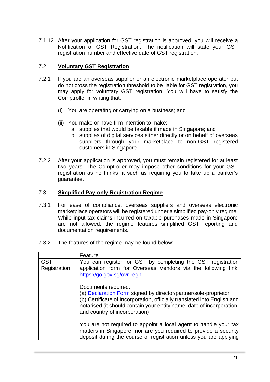7.1.12 After your application for GST registration is approved, you will receive a Notification of GST Registration. The notification will state your GST registration number and effective date of GST registration.

### 7.2 **Voluntary GST Registration**

- 7.2.1 If you are an overseas supplier or an electronic marketplace operator but do not cross the registration threshold to be liable for GST registration, you may apply for voluntary GST registration. You will have to satisfy the Comptroller in writing that:
	- (i) You are operating or carrying on a business; and
	- (ii) You make or have firm intention to make:
		- a. supplies that would be taxable if made in Singapore; and
		- b. supplies of digital services either directly or on behalf of overseas suppliers through your marketplace to non-GST registered customers in Singapore.
- 7.2.2 After your application is approved, you must remain registered for at least two years. The Comptroller may impose other conditions for your GST registration as he thinks fit such as requiring you to take up a banker's guarantee.

#### 7.3 **Simplified Pay-only Registration Regime**

- 7.3.1 For ease of compliance, overseas suppliers and overseas electronic marketplace operators will be registered under a simplified pay-only regime. While input tax claims incurred on taxable purchases made in Singapore are not allowed, the regime features simplified GST reporting and documentation requirements.
- 7.3.2 The features of the regime may be found below:

|                                                                                                                                                                                           | Feature                                                                                                                                                                                                                                                                             |
|-------------------------------------------------------------------------------------------------------------------------------------------------------------------------------------------|-------------------------------------------------------------------------------------------------------------------------------------------------------------------------------------------------------------------------------------------------------------------------------------|
| <b>GST</b><br>You can register for GST by completing the GST registration<br>application form for Overseas Vendors via the following link:<br>Registration<br>https://go.gov.sg/ovr-regn. |                                                                                                                                                                                                                                                                                     |
|                                                                                                                                                                                           | Documents required:<br>(a) <b>Declaration Form</b> signed by director/partner/sole-proprietor<br>(b) Certificate of Incorporation, officially translated into English and<br>notarised (it should contain your entity name, date of incorporation,<br>and country of incorporation) |
|                                                                                                                                                                                           | You are not required to appoint a local agent to handle your tax<br>matters in Singapore, nor are you required to provide a security<br>deposit during the course of registration unless you are applying                                                                           |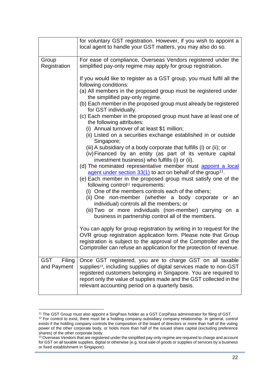|                                     | for voluntary GST registration. However, if you wish to appoint a<br>local agent to handle your GST matters, you may also do so.                                                                                                                                                                                                            |
|-------------------------------------|---------------------------------------------------------------------------------------------------------------------------------------------------------------------------------------------------------------------------------------------------------------------------------------------------------------------------------------------|
| Group<br>Registration               | For ease of compliance, Overseas Vendors registered under the<br>simplified pay-only regime may apply for group registration.                                                                                                                                                                                                               |
|                                     | If you would like to register as a GST group, you must fulfil all the<br>following conditions:<br>(a) All members in the proposed group must be registered under<br>the simplified pay-only regime.<br>(b) Each member in the proposed group must already be registered<br>for GST individually.                                            |
|                                     | (c) Each member in the proposed group must have at least one of<br>the following attributes:<br>(i) Annual turnover of at least \$1 million;                                                                                                                                                                                                |
|                                     | (ii) Listed on a securities exchange established in or outside<br>Singapore;                                                                                                                                                                                                                                                                |
|                                     | (iii) A subsidiary of a body corporate that fulfills (i) or (ii); or<br>(iv) Financed by an entity (as part of its venture capital<br>investment business) who fulfills (i) or (ii).                                                                                                                                                        |
|                                     | (d) The nominated representative member must appoint a local<br>agent under section 33(1) to act on behalf of the group <sup>11</sup> .<br>(e) Each member in the proposed group must satisfy one of the<br>following control <sup>12</sup> requirements:                                                                                   |
|                                     | (i) One of the members controls each of the others;<br>(ii) One non-member (whether a body corporate or an<br>individual) controls all the members; or                                                                                                                                                                                      |
|                                     | (iii) Two or more individuals (non-member) carrying on a<br>business in partnership control all of the members.                                                                                                                                                                                                                             |
|                                     | You can apply for group registration by writing in to request for the<br>OVR group registration application form. Please note that Group<br>registration is subject to the approval of the Comptroller and the<br>Comptroller can refuse an application for the protection of revenue.                                                      |
| <b>GST</b><br>Filing<br>and Payment | Once GST registered, you are to charge GST on all taxable<br>supplies <sup>13</sup> , including supplies of digital services made to non-GST<br>registered customers belonging in Singapore. You are required to<br>report only the value of supplies made and the GST collected in the<br>relevant accounting period on a quarterly basis. |

<sup>11</sup> The GST Group must also appoint a SingPass holder as a GST CorpPass administrator for filing of GST.  $12$  For control to exist, there must be a holding company-subsidiary company relationship. In general, control exists if the holding company controls the composition of the board of directors or more than half of the voting power of the other corporate body, or holds more than half of the issued share capital (excluding preference shares) of the other corporate body.

<sup>&</sup>lt;sup>13</sup> Overseas Vendors that are registered under the simplified pay-only regime are required to charge and account for GST on all taxable supplies, digital or otherwise (e.g. local sale of goods or supplies of services by a business or fixed establishment in Singapore).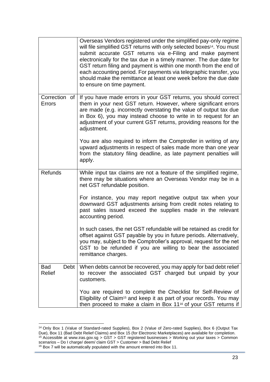|                      | Overseas Vendors registered under the simplified pay-only regime<br>will file simplified GST returns with only selected boxes <sup>14</sup> . You must<br>submit accurate GST returns via e-Filing and make payment<br>electronically for the tax due in a timely manner. The due date for<br>GST return filing and payment is within one month from the end of<br>each accounting period. For payments via telegraphic transfer, you<br>should make the remittance at least one week before the due date<br>to ensure on time payment. |
|----------------------|-----------------------------------------------------------------------------------------------------------------------------------------------------------------------------------------------------------------------------------------------------------------------------------------------------------------------------------------------------------------------------------------------------------------------------------------------------------------------------------------------------------------------------------------|
| Correction<br>Errors | of   If you have made errors in your GST returns, you should correct<br>them in your next GST return. However, where significant errors<br>are made (e.g. incorrectly overstating the value of output tax due<br>in Box 6), you may instead choose to write in to request for an<br>adjustment of your current GST returns, providing reasons for the<br>adjustment.<br>You are also required to inform the Comptroller in writing of any                                                                                               |
|                      | upward adjustments in respect of sales made more than one year<br>from the statutory filing deadline, as late payment penalties will<br>apply.                                                                                                                                                                                                                                                                                                                                                                                          |
| Refunds              | While input tax claims are not a feature of the simplified regime,<br>there may be situations where an Overseas Vendor may be in a<br>net GST refundable position.                                                                                                                                                                                                                                                                                                                                                                      |
|                      | For instance, you may report negative output tax when your<br>downward GST adjustments arising from credit notes relating to<br>past sales issued exceed the supplies made in the relevant<br>accounting period.                                                                                                                                                                                                                                                                                                                        |
|                      | In such cases, the net GST refundable will be retained as credit for<br>offset against GST payable by you in future periods. Alternatively,<br>you may, subject to the Comptroller's approval, request for the net<br>GST to be refunded if you are willing to bear the associated<br>remittance charges.                                                                                                                                                                                                                               |
| <b>Bad</b><br>Relief | Debt   When debts cannot be recovered, you may apply for bad debt relief<br>to recover the associated GST charged but unpaid by your<br>customers.                                                                                                                                                                                                                                                                                                                                                                                      |
|                      | You are required to complete the Checklist for Self-Review of<br>Eligibility of Claim <sup>15</sup> and keep it as part of your records. You may<br>then proceed to make a claim in Box 11 <sup>16</sup> of your GST returns if                                                                                                                                                                                                                                                                                                         |

<sup>14</sup> Only Box 1 (Value of Standard-rated Supplies), Box 2 (Value of Zero-rated Supplies), Box 6 (Output Tax Due), Box 11 (Bad Debt Relief Claims) and Box 15 (for Electronic Marketplaces) are available for completion. <sup>15</sup> Accessible at www.iras.gov.sg > GST > GST registered businesses > Working out your taxes > Common scenarios – Do I charge/ deem/ claim GST > Customer > Bad Debt Relief <sup>16</sup> Box 7 will be automatically populated with the amount entered into Box 11.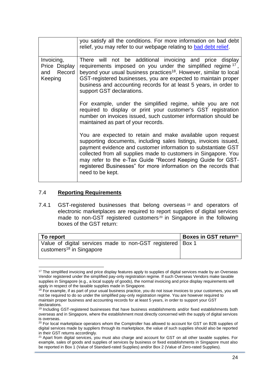|                                     | you satisfy all the conditions. For more information on bad debt<br>relief, you may refer to our webpage relating to bad debt relief.                                                                                                                                                                                                                                                                                    |
|-------------------------------------|--------------------------------------------------------------------------------------------------------------------------------------------------------------------------------------------------------------------------------------------------------------------------------------------------------------------------------------------------------------------------------------------------------------------------|
|                                     |                                                                                                                                                                                                                                                                                                                                                                                                                          |
| Invoicing,<br>and Record<br>Keeping | There will not be additional invoicing and price display<br>Price Display requirements imposed on you under the simplified regime $17$ ,<br>beyond your usual business practices <sup>18</sup> . However, similar to local<br>GST-registered businesses, you are expected to maintain proper<br>business and accounting records for at least 5 years, in order to<br>support GST declarations.                           |
|                                     | For example, under the simplified regime, while you are not<br>required to display or print your customer's GST registration<br>number on invoices issued, such customer information should be<br>maintained as part of your records.                                                                                                                                                                                    |
|                                     | You are expected to retain and make available upon request<br>supporting documents, including sales listings, invoices issued,<br>payment evidence and customer information to substantiate GST<br>collected from all supplies made to customers in Singapore. You<br>may refer to the e-Tax Guide "Record Keeping Guide for GST-<br>registered Businesses" for more information on the records that<br>need to be kept. |

#### 7.4 **Reporting Requirements**

<span id="page-23-0"></span>7.4.1 GST-registered businesses that belong overseas <sup>19</sup> and operators of electronic marketplaces are required to report supplies of digital services made to non-GST registered customers<sup>20</sup> in Singapore in the following boxes of the GST return:

| To report                                                                                            | Boxes in GST return <sup>21</sup> |
|------------------------------------------------------------------------------------------------------|-----------------------------------|
| Value of digital services made to non-GST registered   Box 1<br>customers <sup>18</sup> in Singapore |                                   |

<sup>&</sup>lt;sup>17</sup> The simplified invoicing and price display features apply to supplies of digital services made by an Overseas Vendor registered under the simplified pay-only registration regime. If such Overseas Vendors make taxable supplies in Singapore (e.g., a local supply of goods), the normal invoicing and price display requirements will apply in respect of the taxable supplies made in Singapore.

<sup>&</sup>lt;sup>18</sup> For example, if as part of your usual business practice, you do not issue invoices to your customers, you will not be required to do so under the simplified pay-only registration regime. You are however required to maintain proper business and accounting records for at least 5 years, in order to support your GST declarations.

<sup>&</sup>lt;sup>19</sup> Including GST-registered businesses that have business establishments and/or fixed establishments both overseas and in Singapore, where the establishment most directly concerned with the supply of digital services is overseas.

 $20$  For local marketplace operators whom the Comptroller has allowed to account for GST on B2B supplies of digital services made by suppliers through its marketplace, the value of such supplies should also be reported in their GST returns accordingly.

<sup>&</sup>lt;sup>21</sup> Apart from digital services, you must also charge and account for GST on all other taxable supplies. For example, sales of goods and supplies of services by business or fixed establishments in Singapore must also be reported in Box 1 (Value of Standard-rated Supplies) and/or Box 2 (Value of Zero-rated Supplies).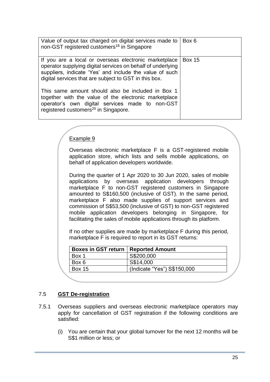| Value of output tax charged on digital services made to<br>non-GST registered customers <sup>18</sup> in Singapore                                                                                                                                                                                                                                                                                                                                            | Box 6         |
|---------------------------------------------------------------------------------------------------------------------------------------------------------------------------------------------------------------------------------------------------------------------------------------------------------------------------------------------------------------------------------------------------------------------------------------------------------------|---------------|
| If you are a local or overseas electronic marketplace<br>operator supplying digital services on behalf of underlying<br>suppliers, indicate 'Yes' and include the value of such<br>digital services that are subject to GST in this box.<br>This same amount should also be included in Box 1<br>together with the value of the electronic marketplace<br>operator's own digital services made to non-GST<br>registered customers <sup>20</sup> in Singapore. | <b>Box 15</b> |

### Example 9

Overseas electronic marketplace F is a GST-registered mobile application store, which lists and sells mobile applications, on behalf of application developers worldwide.

During the quarter of 1 Apr 2020 to 30 Jun 2020, sales of mobile applications by overseas application developers through marketplace F to non-GST registered customers in Singapore amounted to S\$160,500 (inclusive of GST). In the same period, marketplace F also made supplies of support services and commission of S\$53,500 (inclusive of GST) to non-GST registered mobile application developers belonging in Singapore, for facilitating the sales of mobile applications through its platform.

If no other supplies are made by marketplace F during this period, marketplace F is required to report in its GST returns:

| Boxes in GST return   Reported Amount |                             |
|---------------------------------------|-----------------------------|
| Box 1                                 | S\$200,000                  |
| Box 6                                 | S\$14,000                   |
| <b>Box 15</b>                         | (Indicate "Yes") S\$150,000 |
|                                       |                             |

### 7.5 **GST De-registration**

- 7.5.1 Overseas suppliers and overseas electronic marketplace operators may apply for cancellation of GST registration if the following conditions are satisfied:
	- (i) You are certain that your global turnover for the next 12 months will be S\$1 million or less; or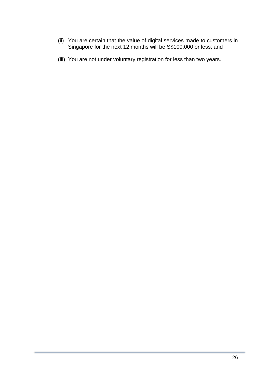- (ii) You are certain that the value of digital services made to customers in Singapore for the next 12 months will be S\$100,000 or less; and
- (iii) You are not under voluntary registration for less than two years.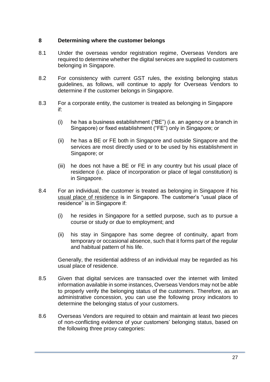### <span id="page-26-0"></span>**8 Determining where the customer belongs**

- 8.1 Under the overseas vendor registration regime, Overseas Vendors are required to determine whether the digital services are supplied to customers belonging in Singapore.
- 8.2 For consistency with current GST rules, the existing belonging status guidelines, as follows, will continue to apply for Overseas Vendors to determine if the customer belongs in Singapore.
- 8.3 For a corporate entity, the customer is treated as belonging in Singapore if:
	- (i) he has a business establishment ("BE") (i.e. an agency or a branch in Singapore) or fixed establishment ("FE") only in Singapore; or
	- (ii) he has a BE or FE both in Singapore and outside Singapore and the services are most directly used or to be used by his establishment in Singapore; or
	- (iii) he does not have a BE or FE in any country but his usual place of residence (i.e. place of incorporation or place of legal constitution) is in Singapore.
- 8.4 For an individual, the customer is treated as belonging in Singapore if his usual place of residence is in Singapore. The customer's "usual place of residence" is in Singapore if:
	- (i) he resides in Singapore for a settled purpose, such as to pursue a course or study or due to employment; and
	- (ii) his stay in Singapore has some degree of continuity, apart from temporary or occasional absence, such that it forms part of the regular and habitual pattern of his life.

Generally, the residential address of an individual may be regarded as his usual place of residence.

- 8.5 Given that digital services are transacted over the internet with limited information available in some instances, Overseas Vendors may not be able to properly verify the belonging status of the customers. Therefore, as an administrative concession, you can use the following proxy indicators to determine the belonging status of your customers.
- 8.6 Overseas Vendors are required to obtain and maintain at least two pieces of non-conflicting evidence of your customers' belonging status, based on the following three proxy categories: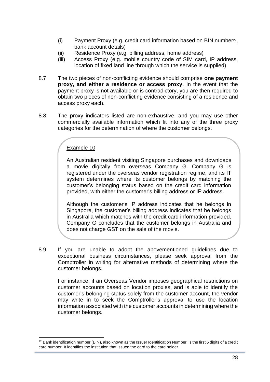- (i) Payment Proxy (e.g. credit card information based on BIN number<sup>22</sup> , bank account details)
- (ii) Residence Proxy (e.g. billing address, home address)
- (iii) Access Proxy (e.g. mobile country code of SIM card, IP address, location of fixed land line through which the service is supplied)
- 8.7 The two pieces of non-conflicting evidence should comprise **one payment proxy, and either a residence or access proxy**. In the event that the payment proxy is not available or is contradictory, you are then required to obtain two pieces of non-conflicting evidence consisting of a residence and access proxy each.
- 8.8 The proxy indicators listed are non-exhaustive, and you may use other commercially available information which fit into any of the three proxy categories for the determination of where the customer belongs.

### Example 10

An Australian resident visiting Singapore purchases and downloads a movie digitally from overseas Company G. Company G is registered under the overseas vendor registration regime, and its IT system determines where its customer belongs by matching the customer's belonging status based on the credit card information provided, with either the customer's billing address or IP address.

Although the customer's IP address indicates that he belongs in Singapore, the customer's billing address indicates that he belongs in Australia which matches with the credit card information provided. Company G concludes that the customer belongs in Australia and does not charge GST on the sale of the movie.

8.9 If you are unable to adopt the abovementioned guidelines due to exceptional business circumstances, please seek approval from the Comptroller in writing for alternative methods of determining where the customer belongs.

For instance, if an Overseas Vendor imposes geographical restrictions on customer accounts based on location proxies, and is able to identify the customer's belonging status solely from the customer account, the vendor may write in to seek the Comptroller's approval to use the location information associated with the customer accounts in determining where the customer belongs.

 $22$  Bank identification number (BIN), also known as the Issuer Identification Number, is the first 6 digits of a credit card number. It identifies the institution that issued the card to the card holder.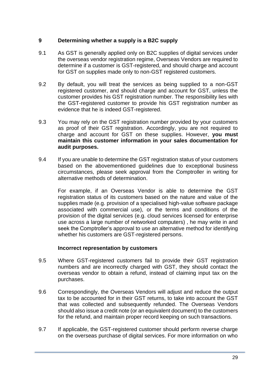### <span id="page-28-0"></span>**9 Determining whether a supply is a B2C supply**

- 9.1 As GST is generally applied only on B2C supplies of digital services under the overseas vendor registration regime, Overseas Vendors are required to determine if a customer is GST-registered, and should charge and account for GST on supplies made only to non-GST registered customers.
- 9.2 By default, you will treat the services as being supplied to a non-GST registered customer, and should charge and account for GST, unless the customer provides his GST registration number. The responsibility lies with the GST-registered customer to provide his GST registration number as evidence that he is indeed GST-registered.
- 9.3 You may rely on the GST registration number provided by your customers as proof of their GST registration. Accordingly, you are not required to charge and account for GST on these supplies. However, **you must maintain this customer information in your sales documentation for audit purposes.**
- 9.4 If you are unable to determine the GST registration status of your customers based on the abovementioned guidelines due to exceptional business circumstances, please seek approval from the Comptroller in writing for alternative methods of determination.

For example, if an Overseas Vendor is able to determine the GST registration status of its customers based on the nature and value of the supplies made (e.g. provision of a specialised high-value software package associated with commercial use), or the terms and conditions of the provision of the digital services (e.g. cloud services licensed for enterprise use across a large number of networked computers) , he may write in and seek the Comptroller's approval to use an alternative method for identifying whether his customers are GST-registered persons.

### **Incorrect representation by customers**

- 9.5 Where GST-registered customers fail to provide their GST registration numbers and are incorrectly charged with GST, they should contact the overseas vendor to obtain a refund, instead of claiming input tax on the purchases.
- 9.6 Correspondingly, the Overseas Vendors will adjust and reduce the output tax to be accounted for in their GST returns, to take into account the GST that was collected and subsequently refunded. The Overseas Vendors should also issue a credit note (or an equivalent document) to the customers for the refund, and maintain proper record keeping on such transactions.
- 9.7 If applicable, the GST-registered customer should perform reverse charge on the overseas purchase of digital services. For more information on who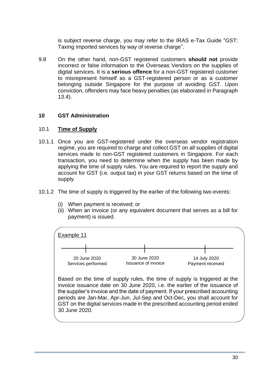is subject reverse charge, you may refer to the IRAS e-Tax Guide "GST: Taxing imported services by way of reverse charge".

9.8 On the other hand, non-GST registered customers **should not** provide incorrect or false information to the Overseas Vendors on the supplies of digital services. It is a **serious offence** for a non-GST registered customer to misrepresent himself as a GST-registered person or as a customer belonging outside Singapore for the purpose of avoiding GST. Upon conviction, offenders may face heavy penalties (as elaborated in Paragraph 13.4).

### <span id="page-29-0"></span>**10 GST Administration**

### 10.1 **Time of Supply**

- 10.1.1 Once you are GST-registered under the overseas vendor registration regime, you are required to charge and collect GST on all supplies of digital services made to non-GST registered customers in Singapore. For each transaction, you need to determine when the supply has been made by applying the time of supply rules. You are required to report the supply and account for GST (i.e. output tax) in your GST returns based on the time of supply.
- 10.1.2 The time of supply is triggered by the earlier of the following two events:
	- (i) When payment is received; or
	- (ii) When an invoice (or any equivalent document that serves as a bill for payment) is issued.

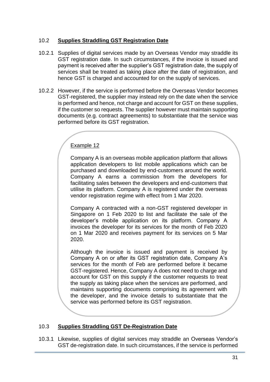### 10.2 **Supplies Straddling GST Registration Date**

- 10.2.1 Supplies of digital services made by an Overseas Vendor may straddle its GST registration date. In such circumstances, if the invoice is issued and payment is received after the supplier's GST registration date, the supply of services shall be treated as taking place after the date of registration, and hence GST is charged and accounted for on the supply of services.
- 10.2.2 However, if the service is performed before the Overseas Vendor becomes GST-registered, the supplier may instead rely on the date when the service is performed and hence, not charge and account for GST on these supplies, if the customer so requests. The supplier however must maintain supporting documents (e.g. contract agreements) to substantiate that the service was performed before its GST registration.

### Example 12

Company A is an overseas mobile application platform that allows application developers to list mobile applications which can be purchased and downloaded by end-customers around the world. Company A earns a commission from the developers for facilitating sales between the developers and end-customers that utilise its platform. Company A is registered under the overseas vendor registration regime with effect from 1 Mar 2020.

Company A contracted with a non-GST registered developer in Singapore on 1 Feb 2020 to list and facilitate the sale of the developer's mobile application on its platform. Company A invoices the developer for its services for the month of Feb 2020 on 1 Mar 2020 and receives payment for its services on 5 Mar 2020.

Although the invoice is issued and payment is received by Company A on or after its GST registration date, Company A's services for the month of Feb are performed before it became GST-registered. Hence, Company A does not need to charge and account for GST on this supply if the customer requests to treat the supply as taking place when the services are performed, and maintains supporting documents comprising its agreement with the developer, and the invoice details to substantiate that the service was performed before its GST registration.

### 10.3 **Supplies Straddling GST De-Registration Date**

10.3.1 Likewise, supplies of digital services may straddle an Overseas Vendor's GST de-registration date. In such circumstances, if the service is performed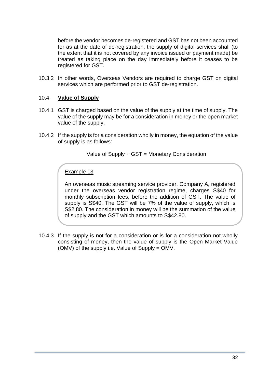before the vendor becomes de-registered and GST has not been accounted for as at the date of de-registration, the supply of digital services shall (to the extent that it is not covered by any invoice issued or payment made) be treated as taking place on the day immediately before it ceases to be registered for GST.

10.3.2 In other words, Overseas Vendors are required to charge GST on digital services which are performed prior to GST de-registration.

### 10.4 **Value of Supply**

- 10.4.1 GST is charged based on the value of the supply at the time of supply. The value of the supply may be for a consideration in money or the open market value of the supply.
- 10.4.2 If the supply is for a consideration wholly in money, the equation of the value of supply is as follows:

Value of Supply + GST = Monetary Consideration

### Example 13

An overseas music streaming service provider, Company A, registered under the overseas vendor registration regime, charges S\$40 for monthly subscription fees, before the addition of GST. The value of supply is S\$40. The GST will be 7% of the value of supply, which is S\$2.80. The consideration in money will be the summation of the value of supply and the GST which amounts to S\$42.80.

10.4.3 If the supply is not for a consideration or is for a consideration not wholly consisting of money, then the value of supply is the Open Market Value (OMV) of the supply i.e. Value of Supply = OMV.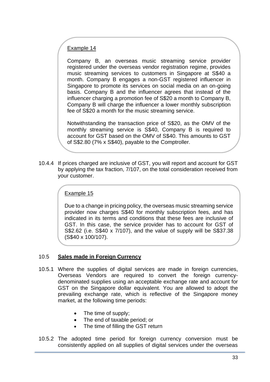### Example 14

Company B, an overseas music streaming service provider registered under the overseas vendor registration regime, provides music streaming services to customers in Singapore at S\$40 a month. Company B engages a non-GST registered influencer in Singapore to promote its services on social media on an on-going basis. Company B and the influencer agrees that instead of the influencer charging a promotion fee of S\$20 a month to Company B, Company B will charge the influencer a lower monthly subscription fee of S\$20 a month for the music streaming service.

Notwithstanding the transaction price of S\$20, as the OMV of the monthly streaming service is S\$40, Company B is required to account for GST based on the OMV of S\$40. This amounts to GST of S\$2.80 (7% x S\$40), payable to the Comptroller.

10.4.4 If prices charged are inclusive of GST, you will report and account for GST by applying the tax fraction, 7/107, on the total consideration received from your customer.

### Example 15

Due to a change in pricing policy, the overseas music streaming service provider now charges S\$40 for monthly subscription fees, and has indicated in its terms and conditions that these fees are inclusive of GST. In this case, the service provider has to account for GST of S\$2.62 (i.e. S\$40 x 7/107), and the value of supply will be S\$37.38 (S\$40 x 100/107).

### 10.5 **Sales made in Foreign Currency**

- 10.5.1 Where the supplies of digital services are made in foreign currencies, Overseas Vendors are required to convert the foreign currencydenominated supplies using an acceptable exchange rate and account for GST on the Singapore dollar equivalent. You are allowed to adopt the prevailing exchange rate, which is reflective of the Singapore money market, at the following time periods:
	- The time of supply;
	- The end of taxable period; or
	- The time of filling the GST return
- 10.5.2 The adopted time period for foreign currency conversion must be consistently applied on all supplies of digital services under the overseas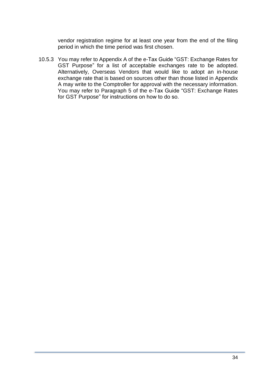vendor registration regime for at least one year from the end of the filing period in which the time period was first chosen.

10.5.3 You may refer to Appendix A of the e-Tax Guide "GST: Exchange Rates for GST Purpose" for a list of acceptable exchanges rate to be adopted. Alternatively, Overseas Vendors that would like to adopt an in-house exchange rate that is based on sources other than those listed in Appendix A may write to the Comptroller for approval with the necessary information. You may refer to Paragraph 5 of the e-Tax Guide "GST: Exchange Rates for GST Purpose" for instructions on how to do so.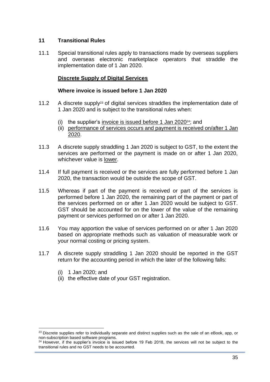### <span id="page-34-0"></span>**11 Transitional Rules**

11.1 Special transitional rules apply to transactions made by overseas suppliers and overseas electronic marketplace operators that straddle the implementation date of 1 Jan 2020.

### **Discrete Supply of Digital Services**

#### **Where invoice is issued before 1 Jan 2020**

- 11.2 A discrete supply<sup>23</sup> of digital services straddles the implementation date of 1 Jan 2020 and is subject to the transitional rules when:
	- (i) the supplier's invoice is issued before 1 Jan 2020 $^{24}$ ; and
	- (ii) performance of services occurs and payment is received on/after 1 Jan 2020.
- 11.3 A discrete supply straddling 1 Jan 2020 is subject to GST, to the extent the services are performed or the payment is made on or after 1 Jan 2020, whichever value is lower.
- 11.4 If full payment is received or the services are fully performed before 1 Jan 2020, the transaction would be outside the scope of GST.
- 11.5 Whereas if part of the payment is received or part of the services is performed before 1 Jan 2020, the remaining part of the payment or part of the services performed on or after 1 Jan 2020 would be subject to GST. GST should be accounted for on the lower of the value of the remaining payment or services performed on or after 1 Jan 2020.
- 11.6 You may apportion the value of services performed on or after 1 Jan 2020 based on appropriate methods such as valuation of measurable work or your normal costing or pricing system.
- 11.7 A discrete supply straddling 1 Jan 2020 should be reported in the GST return for the accounting period in which the later of the following falls:
	- (i) 1 Jan 2020; and
	- (ii) the effective date of your GST registration.

<sup>&</sup>lt;sup>23</sup> Discrete supplies refer to individually separate and distinct supplies such as the sale of an eBook, app, or non-subscription based software programs.

 $24$  However, if the supplier's invoice is issued before 19 Feb 2018, the services will not be subject to the transitional rules and no GST needs to be accounted.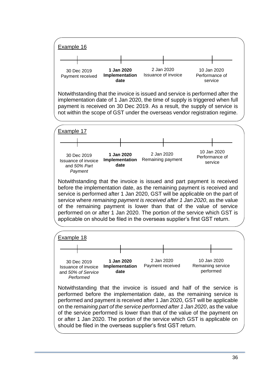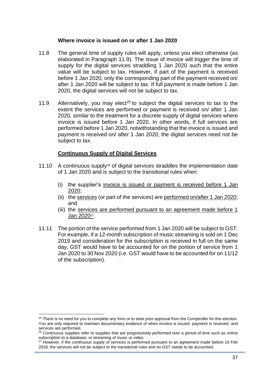#### **Where invoice is issued on or after 1 Jan 2020**

- 11.8 The general time of supply rules will apply, unless you elect otherwise (as elaborated in Paragraph 11.9). The issue of invoice will trigger the time of supply for the digital services straddling 1 Jan 2020 such that the entire value will be subject to tax. However, if part of the payment is received before 1 Jan 2020, only the corresponding part of the payment received on/ after 1 Jan 2020 will be subject to tax. If full payment is made before 1 Jan 2020, the digital services will not be subject to tax.
- 11.9 Alternatively, you may elect<sup>25</sup> to subject the digital services to tax to the extent the services are performed or payment is received on/ after 1 Jan 2020, similar to the treatment for a discrete supply of digital services where invoice is issued before 1 Jan 2020. In other words, if full services are performed before 1 Jan 2020, notwithstanding that the invoice is issued and payment is received on/ after 1 Jan 2020, the digital services need not be subject to tax.

#### **Continuous Supply of Digital Services**

- 11.10 A continuous supply<sup>26</sup> of digital services straddles the implementation date of 1 Jan 2020 and is subject to the transitional rules when:
	- (i) the supplier's invoice is issued or payment is received before 1 Jan 2020;
	- (ii) the services (or part of the services) are performed on/after 1 Jan 2020; and
	- (iii) the services are performed pursuant to an agreement made before 1 <u>Jan 202027</u>.
- 11.11 The portion of the service performed from 1 Jan 2020 will be subject to GST. For example, if a 12-month subscription of music streaming is sold on 1 Dec 2019 and consideration for the subscription is received in full on the same day, GST would have to be accounted for on the portion of service from 1 Jan 2020 to 30 Nov 2020 (i.e. GST would have to be accounted for on 11/12 of the subscription).

<sup>&</sup>lt;sup>25</sup> There is no need for you to complete any form or to seek prior approval from the Comptroller for this election. You are only required to maintain documentary evidence of when invoice is issued, payment is received, and services are performed.

<sup>&</sup>lt;sup>26</sup> Continuous supplies refer to supplies that are progressively performed over a period of time such as online subscription to a database, or streaming of music or video.

<sup>&</sup>lt;sup>27</sup> However, if the continuous supply of services is performed pursuant to an agreement made before 19 Feb 2018, the services will not be subject to the transitional rules and no GST needs to be accounted.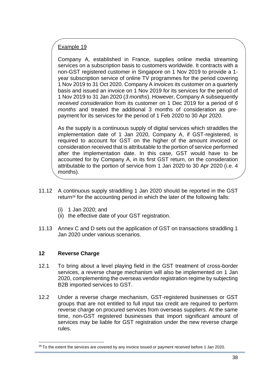### Example 19

Company A, established in France, supplies online media streaming services on a subscription basis to customers worldwide. It contracts with a non-GST registered customer in Singapore on 1 Nov 2019 to provide a 1 year subscription service of online TV programmes for the period covering 1 Nov 2019 to 31 Oct 2020. Company A *invoices* its customer on a quarterly basis and issued an invoice on 1 Nov 2019 for its services for the period of 1 Nov 2019 to 31 Jan 2020 (*3 months*). However, Company A subsequently *received consideration* from its customer on 1 Dec 2019 for a period of *6 months* and treated the additional 3 months of consideration as prepayment for its services for the period of 1 Feb 2020 to 30 Apr 2020.

As the supply is a continuous supply of digital services which straddles the implementation date of 1 Jan 2020, Company A, if GST-registered, is required to account for GST on the higher of the amount invoiced or consideration received that is attributable to the portion of service performed after the implementation date. In this case, GST would have to be accounted for by Company A, in its first GST return, on the consideration attributable to the portion of service from 1 Jan 2020 to 30 Apr 2020 (i.e. 4 months).

- 11.12 A continuous supply straddling 1 Jan 2020 should be reported in the GST return<sup>28</sup> for the accounting period in which the later of the following falls:
	- (i) 1 Jan 2020; and
	- (ii) the effective date of your GST registration.
- 11.13 Annex C and D sets out the application of GST on transactions straddling 1 Jan 2020 under various scenarios.

### <span id="page-37-0"></span>**12 Reverse Charge**

- 12.1 To bring about a level playing field in the GST treatment of cross-border services, a reverse charge mechanism will also be implemented on 1 Jan 2020, complementing the overseas vendor registration regime by subjecting B2B imported services to GST.
- 12.2 Under a reverse charge mechanism, GST-registered businesses or GST groups that are not entitled to full input tax credit are required to perform reverse charge on procured services from overseas suppliers. At the same time, non-GST registered businesses that import significant amount of services may be liable for GST registration under the new reverse charge rules.

 $28$  To the extent the services are covered by any invoice issued or payment received before 1 Jan 2020.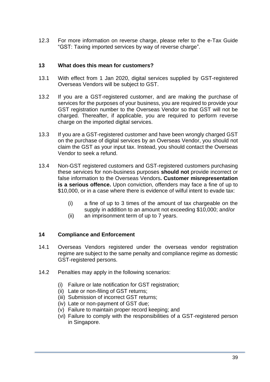12.3 For more information on reverse charge, please refer to the e-Tax Guide "GST: Taxing imported services by way of reverse charge".

### <span id="page-38-0"></span>**13 What does this mean for customers?**

- 13.1 With effect from 1 Jan 2020, digital services supplied by GST-registered Overseas Vendors will be subject to GST.
- 13.2 If you are a GST-registered customer, and are making the purchase of services for the purposes of your business, you are required to provide your GST registration number to the Overseas Vendor so that GST will not be charged. Thereafter, if applicable, you are required to perform reverse charge on the imported digital services.
- 13.3 If you are a GST-registered customer and have been wrongly charged GST on the purchase of digital services by an Overseas Vendor, you should not claim the GST as your input tax. Instead, you should contact the Overseas Vendor to seek a refund.
- 13.4 Non-GST registered customers and GST-registered customers purchasing these services for non-business purposes **should not** provide incorrect or false information to the Overseas Vendors**. Customer misrepresentation is a serious offence.** Upon conviction, offenders may face a fine of up to \$10,000, or in a case where there is evidence of wilful intent to evade tax:
	- (i) a fine of up to 3 times of the amount of tax chargeable on the supply in addition to an amount not exceeding \$10,000; and/or
	- (ii) an imprisonment term of up to 7 years.

#### <span id="page-38-1"></span>**14 Compliance and Enforcement**

- 14.1 Overseas Vendors registered under the overseas vendor registration regime are subject to the same penalty and compliance regime as domestic GST-registered persons.
- 14.2 Penalties may apply in the following scenarios:
	- (i) Failure or late notification for GST registration;
	- (ii) Late or non-filing of GST returns;
	- (iii) Submission of incorrect GST returns;
	- (iv) Late or non-payment of GST due;
	- (v) Failure to maintain proper record keeping; and
	- (vi) Failure to comply with the responsibilities of a GST-registered person in Singapore.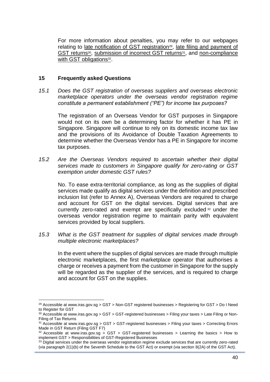For more information about penalties, you may refer to our webpages relating to [late notification of GST registration](https://www.iras.gov.sg/irashome/GST/Non-GST-registered-businesses/Registering-for-GST/Do-I-Need-to-Register-for-GST/)<sup>29</sup>, late filing and payment of [GST returns](https://www.iras.gov.sg/irashome/GST/GST-registered-businesses/Filing-your-taxes/Late-Filing-or-Non-Filing-of-Tax-Returns/)<sup>30</sup>, [submission of incorrect GST returns](https://www.iras.gov.sg/irashome/GST/GST-registered-businesses/Filing-your-taxes/Correcting-Errors-Made-in-GST-Return--Filing-GST-F7-/)<sup>31</sup>, and non-compliance [with GST obligations](https://www.iras.gov.sg/irashome/GST/GST-registered-businesses/Learning-the-basics/How-to-implement-GST/Responsibilities-of-GST-Registered-Businesses/)<sup>32</sup>.

#### <span id="page-39-0"></span>**15 Frequently asked Questions**

*15.1 Does the GST registration of overseas suppliers and overseas electronic marketplace operators under the overseas vendor registration regime constitute a permanent establishment ("PE") for income tax purposes?*

The registration of an Overseas Vendor for GST purposes in Singapore would not on its own be a determining factor for whether it has PE in Singapore. Singapore will continue to rely on its domestic income tax law and the provisions of its Avoidance of Double Taxation Agreements to determine whether the Overseas Vendor has a PE in Singapore for income tax purposes.

*15.2 Are the Overseas Vendors required to ascertain whether their digital services made to customers in Singapore qualify for zero-rating or GST exemption under domestic GST rules?*

No. To ease extra-territorial compliance, as long as the supplies of digital services made qualify as digital services under the definition and prescribed inclusion list (refer to Annex A), Overseas Vendors are required to charge and account for GST on the digital services. Digital services that are currently zero-rated and exempt are specifically excluded <sup>33</sup> under the overseas vendor registration regime to maintain parity with equivalent services provided by local suppliers.

*15.3 What is the GST treatment for supplies of digital services made through multiple electronic marketplaces?*

In the event where the supplies of digital services are made through multiple electronic marketplaces, the first marketplace operator that authorises a charge or receives a payment from the customer in Singapore for the supply will be regarded as the supplier of the services, and is required to charge and account for GST on the supplies.

<sup>&</sup>lt;sup>29</sup> Accessible at www.iras.gov.sg > GST > Non-GST registered businesses > Registering for GST > Do I Need to Register for GST

 $30$  Accessible at www.iras.gov.sg > GST > GST-registered businesses > Filing your taxes > Late Filing or Non-Filing of Tax Returns

 $31$  Accessible at www.iras.gov.sg > GST > GST-registered businesses > Filing your taxes > Correcting Errors Made in GST Return (Filing GST F7)

 $32$  Accessible at www.iras.gov.sg > GST > GST-registered businesses > Learning the basics > How to implement GST > Responsibilities of GST-Registered Businesses

<sup>&</sup>lt;sup>33</sup> Digital services under the overseas vendor registration regime exclude services that are currently zero-rated (via paragraph 2(1)(b) of the Seventh Schedule to the GST Act) or exempt (via section 8(2A) of the GST Act).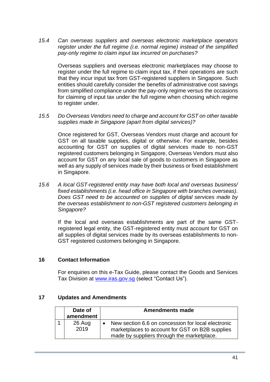*15.4 Can overseas suppliers and overseas electronic marketplace operators register under the full regime (i.e. normal regime) instead of the simplified pay-only regime to claim input tax incurred on purchases?*

Overseas suppliers and overseas electronic marketplaces may choose to register under the full regime to claim input tax, if their operations are such that they incur input tax from GST-registered suppliers in Singapore. Such entities should carefully consider the benefits of administrative cost savings from simplified compliance under the pay-only regime versus the occasions for claiming of input tax under the full regime when choosing which regime to register under.

*15.5 Do Overseas Vendors need to charge and account for GST on other taxable supplies made in Singapore (apart from digital services)?*

Once registered for GST, Overseas Vendors must charge and account for GST on all taxable supplies, digital or otherwise. For example, besides accounting for GST on supplies of digital services made to non-GST registered customers belonging in Singapore, Overseas Vendors must also account for GST on any local sale of goods to customers in Singapore as well as any supply of services made by their business or fixed establishment in Singapore.

*15.6 A local GST-registered entity may have both local and overseas business/ fixed establishments (i.e. head office in Singapore with branches overseas). Does GST need to be accounted on supplies of digital services made by the overseas establishment to non-GST registered customers belonging in Singapore?*

If the local and overseas establishments are part of the same GSTregistered legal entity, the GST-registered entity must account for GST on all supplies of digital services made by its overseas establishments to non-GST registered customers belonging in Singapore.

#### <span id="page-40-0"></span>**16 Contact Information**

For enquiries on this e-Tax Guide, please contact the Goods and Services Tax Division at [www.iras.gov.sg](http://www.iras.gov.sg/) (select "Contact Us").

#### <span id="page-40-1"></span>**17 Updates and Amendments**

| Date of        | <b>Amendments made</b>                                                                                                                              |  |
|----------------|-----------------------------------------------------------------------------------------------------------------------------------------------------|--|
| amendment      |                                                                                                                                                     |  |
| 26 Aug<br>2019 | New section 6.6 on concession for local electronic<br>marketplaces to account for GST on B2B supplies<br>made by suppliers through the marketplace. |  |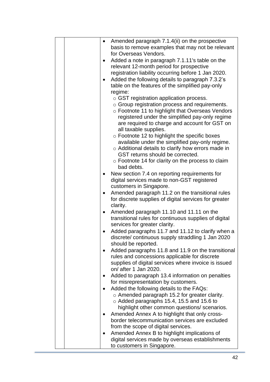|  | $\bullet$ | Amended paragraph 7.1.4(ii) on the prospective<br>basis to remove examples that may not be relevant |
|--|-----------|-----------------------------------------------------------------------------------------------------|
|  |           | for Overseas Vendors.                                                                               |
|  |           | Added a note in paragraph 7.1.11's table on the                                                     |
|  |           | relevant 12-month period for prospective                                                            |
|  |           | registration liability occurring before 1 Jan 2020.                                                 |
|  |           | Added the following details to paragraph 7.3.2's                                                    |
|  |           | table on the features of the simplified pay-only                                                    |
|  |           | regime:                                                                                             |
|  |           | $\circ$ GST registration application process.                                                       |
|  |           | $\circ$ Group registration process and requirements.                                                |
|  |           | ○ Footnote 11 to highlight that Overseas Vendors                                                    |
|  |           | registered under the simplified pay-only regime                                                     |
|  |           | are required to charge and account for GST on                                                       |
|  |           | all taxable supplies.                                                                               |
|  |           | ○ Footnote 12 to highlight the specific boxes                                                       |
|  |           | available under the simplified pay-only regime.                                                     |
|  |           | o Additional details to clarify how errors made in                                                  |
|  |           | GST returns should be corrected.                                                                    |
|  |           | $\circ$ Footnote 14 for clarity on the process to claim                                             |
|  |           | bad debts.                                                                                          |
|  | ٠         | New section 7.4 on reporting requirements for                                                       |
|  |           | digital services made to non-GST registered                                                         |
|  |           | customers in Singapore.                                                                             |
|  | $\bullet$ | Amended paragraph 11.2 on the transitional rules                                                    |
|  |           | for discrete supplies of digital services for greater                                               |
|  |           | clarity.                                                                                            |
|  | $\bullet$ | Amended paragraph 11.10 and 11.11 on the                                                            |
|  |           | transitional rules for continuous supplies of digital                                               |
|  |           | services for greater clarity.                                                                       |
|  | $\bullet$ | Added paragraphs 11.7 and 11.12 to clarify when a                                                   |
|  |           | discrete/ continuous supply straddling 1 Jan 2020                                                   |
|  |           | should be reported.                                                                                 |
|  |           | Added paragraphs 11.8 and 11.9 on the transitional                                                  |
|  |           | rules and concessions applicable for discrete                                                       |
|  |           | supplies of digital services where invoice is issued<br>on/ after 1 Jan 2020.                       |
|  |           |                                                                                                     |
|  |           | Added to paragraph 13.4 information on penalties<br>for misrepresentation by customers.             |
|  |           | Added the following details to the FAQs:                                                            |
|  |           | o Amended paragraph 15.2 for greater clarity.                                                       |
|  |           | $\circ$ Added paragraphs 15.4, 15.5 and 15.6 to                                                     |
|  |           | highlight other common questions/ scenarios.                                                        |
|  |           | Amended Annex A to highlight that only cross-                                                       |
|  |           | border telecommunication services are excluded                                                      |
|  |           | from the scope of digital services.                                                                 |
|  |           | Amended Annex B to highlight implications of                                                        |
|  |           | digital services made by overseas establishments                                                    |
|  |           | to customers in Singapore.                                                                          |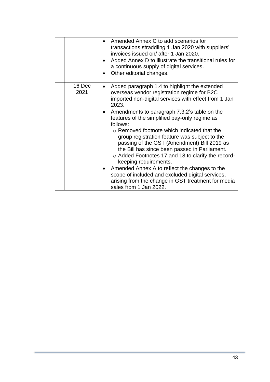|                | Amended Annex C to add scenarios for<br>transactions straddling 1 Jan 2020 with suppliers'<br>invoices issued on/ after 1 Jan 2020.<br>Added Annex D to illustrate the transitional rules for<br>a continuous supply of digital services.<br>Other editorial changes.                                                                                                                                                                                                                                                                                                                                                                                                                                                                               |
|----------------|-----------------------------------------------------------------------------------------------------------------------------------------------------------------------------------------------------------------------------------------------------------------------------------------------------------------------------------------------------------------------------------------------------------------------------------------------------------------------------------------------------------------------------------------------------------------------------------------------------------------------------------------------------------------------------------------------------------------------------------------------------|
| 16 Dec<br>2021 | Added paragraph 1.4 to highlight the extended<br>٠<br>overseas vendor registration regime for B2C<br>imported non-digital services with effect from 1 Jan<br>2023.<br>Amendments to paragraph 7.3.2's table on the<br>features of the simplified pay-only regime as<br>follows:<br>○ Removed footnote which indicated that the<br>group registration feature was subject to the<br>passing of the GST (Amendment) Bill 2019 as<br>the Bill has since been passed in Parliament.<br>o Added Footnotes 17 and 18 to clarify the record-<br>keeping requirements.<br>Amended Annex A to reflect the changes to the<br>scope of included and excluded digital services,<br>arising from the change in GST treatment for media<br>sales from 1 Jan 2022. |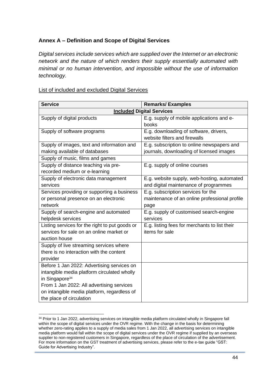### <span id="page-43-0"></span>**Annex A – Definition and Scope of Digital Services**

*Digital services include services which are supplied over the Internet or an electronic network and the nature of which renders their supply essentially automated with minimal or no human intervention, and impossible without the use of information technology.*

| <b>Service</b>                                 | <b>Remarks/Examples</b>                       |
|------------------------------------------------|-----------------------------------------------|
|                                                | <b>Included Digital Services</b>              |
| Supply of digital products                     | E.g. supply of mobile applications and e-     |
|                                                | books                                         |
| Supply of software programs                    | E.g. downloading of software, drivers,        |
|                                                | website filters and firewalls                 |
| Supply of images, text and information and     | E.g. subscription to online newspapers and    |
| making available of databases                  | journals, downloading of licensed images      |
| Supply of music, films and games               |                                               |
| Supply of distance teaching via pre-           | E.g. supply of online courses                 |
| recorded medium or e-learning                  |                                               |
| Supply of electronic data management           | E.g. website supply, web-hosting, automated   |
| services                                       | and digital maintenance of programmes         |
| Services providing or supporting a business    | E.g. subscription services for the            |
| or personal presence on an electronic          | maintenance of an online professional profile |
| network                                        | page                                          |
| Supply of search-engine and automated          | E.g. supply of customised search-engine       |
| helpdesk services                              | services                                      |
| Listing services for the right to put goods or | E.g. listing fees for merchants to list their |
| services for sale on an online market or       | items for sale                                |
| auction house                                  |                                               |
| Supply of live streaming services where        |                                               |
| there is no interaction with the content       |                                               |
| provider                                       |                                               |
| Before 1 Jan 2022: Advertising services on     |                                               |
| intangible media platform circulated wholly    |                                               |
| in Singapore <sup>34</sup>                     |                                               |
| From 1 Jan 2022: All advertising services      |                                               |
| on intangible media platform, regardless of    |                                               |
| the place of circulation                       |                                               |

### List of included and excluded Digital Services

<sup>34</sup> Prior to 1 Jan 2022, advertising services on intangible media platform circulated wholly in Singapore fall within the scope of digital services under the OVR regime. With the change in the basis for determining whether zero-rating applies to a supply of media sales from 1 Jan 2022, all advertising services on intangible media platform would fall within the scope of digital services under the OVR regime if supplied by an overseas supplier to non-registered customers in Singapore, regardless of the place of circulation of the advertisement. For more information on the GST treatment of advertising services, please refer to the e-tax guide "GST: Guide for Advertising Industry".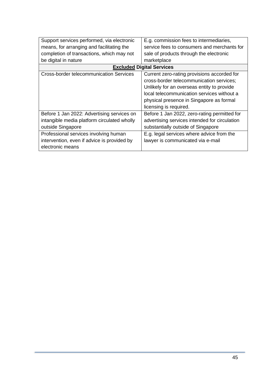| Support services performed, via electronic     | E.g. commission fees to intermediaries,       |
|------------------------------------------------|-----------------------------------------------|
| means, for arranging and facilitating the      | service fees to consumers and merchants for   |
| completion of transactions, which may not      | sale of products through the electronic       |
| be digital in nature                           | marketplace                                   |
|                                                | <b>Excluded Digital Services</b>              |
| <b>Cross-border telecommunication Services</b> | Current zero-rating provisions accorded for   |
|                                                | cross-border telecommunication services;      |
|                                                | Unlikely for an overseas entity to provide    |
|                                                | local telecommunication services without a    |
|                                                | physical presence in Singapore as formal      |
|                                                | licensing is required.                        |
| Before 1 Jan 2022: Advertising services on     | Before 1 Jan 2022, zero-rating permitted for  |
| intangible media platform circulated wholly    | advertising services intended for circulation |
| outside Singapore                              | substantially outside of Singapore            |
| Professional services involving human          | E.g. legal services where advice from the     |
| intervention, even if advice is provided by    | lawyer is communicated via e-mail             |
| electronic means                               |                                               |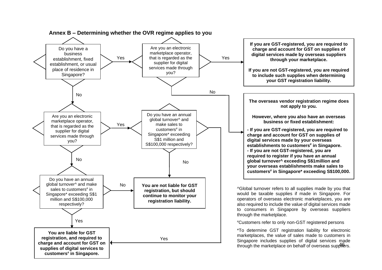<span id="page-45-0"></span>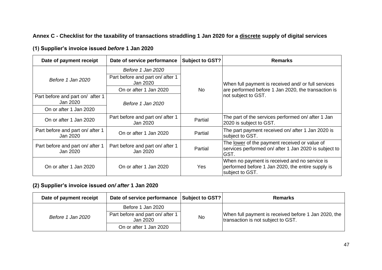### **Annex C - Checklist for the taxability of transactions straddling 1 Jan 2020 for a discrete supply of digital services**

|  | (1) Supplier's invoice issued before 1 Jan 2020 |  |  |  |  |
|--|-------------------------------------------------|--|--|--|--|
|--|-------------------------------------------------|--|--|--|--|

| Date of payment receipt                      | Date of service performance                  | Subject to GST? | <b>Remarks</b>                                                                                                        |  |
|----------------------------------------------|----------------------------------------------|-----------------|-----------------------------------------------------------------------------------------------------------------------|--|
|                                              | Before 1 Jan 2020                            |                 |                                                                                                                       |  |
| Before 1 Jan 2020                            | Part before and part on/ after 1<br>Jan 2020 | <b>No</b>       | When full payment is received and/ or full services                                                                   |  |
|                                              | On or after 1 Jan 2020                       |                 | are performed before 1 Jan 2020, the transaction is                                                                   |  |
| Part before and part on/ after 1<br>Jan 2020 | Before 1 Jan 2020                            |                 | not subject to GST.                                                                                                   |  |
| On or after 1 Jan 2020                       |                                              |                 |                                                                                                                       |  |
| On or after 1 Jan 2020                       | Part before and part on/ after 1<br>Jan 2020 | Partial         | The part of the services performed on/ after 1 Jan<br>2020 is subject to GST.                                         |  |
| Part before and part on/ after 1<br>Jan 2020 | On or after 1 Jan 2020                       | Partial         | The part payment received on/ after 1 Jan 2020 is<br>subject to GST.                                                  |  |
| Part before and part on/ after 1<br>Jan 2020 | Part before and part on/ after 1<br>Jan 2020 | Partial         | The lower of the payment received or value of<br>services performed on/ after 1 Jan 2020 is subject to<br>GST.        |  |
| On or after 1 Jan 2020                       | On or after 1 Jan 2020                       | Yes             | When no payment is received and no service is<br>performed before 1 Jan 2020, the entire supply is<br>subject to GST. |  |

### <span id="page-46-0"></span>**(2) Supplier's invoice issued** *on/ after* **1 Jan 2020**

| Date of payment receipt | Date of service performance Subject to GST?                                                   |    | <b>Remarks</b>                                                                             |
|-------------------------|-----------------------------------------------------------------------------------------------|----|--------------------------------------------------------------------------------------------|
| Before 1 Jan 2020       | Before 1 Jan 2020<br>Part before and part on/ after 1<br>Jan 2020 .<br>On or after 1 Jan 2020 | No | When full payment is received before 1 Jan 2020, the<br>transaction is not subject to GST. |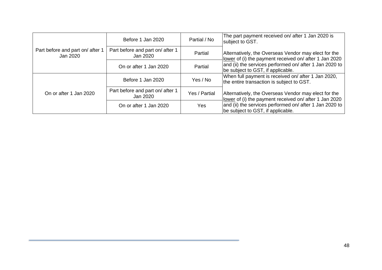|                                              | Before 1 Jan 2020                            | Partial / No  | The part payment received on/ after 1 Jan 2020 is<br>subject to GST.                                           |
|----------------------------------------------|----------------------------------------------|---------------|----------------------------------------------------------------------------------------------------------------|
| Part before and part on/ after 1<br>Jan 2020 | Part before and part on/ after 1<br>Jan 2020 | Partial       | Alternatively, the Overseas Vendor may elect for the<br>lower of (i) the payment received on/ after 1 Jan 2020 |
|                                              | On or after 1 Jan 2020                       | Partial       | and (ii) the services performed on/ after 1 Jan 2020 to<br>be subject to GST, if applicable.                   |
|                                              | Before 1 Jan 2020                            | Yes / No      | When full payment is received on/ after 1 Jan 2020,<br>the entire transaction is subject to GST.               |
| On or after 1 Jan 2020                       | Part before and part on/ after 1<br>Jan 2020 | Yes / Partial | Alternatively, the Overseas Vendor may elect for the<br>lower of (i) the payment received on/ after 1 Jan 2020 |
|                                              | On or after 1 Jan 2020                       | <b>Yes</b>    | and (ii) the services performed on/ after 1 Jan 2020 to<br>be subject to GST, if applicable.                   |